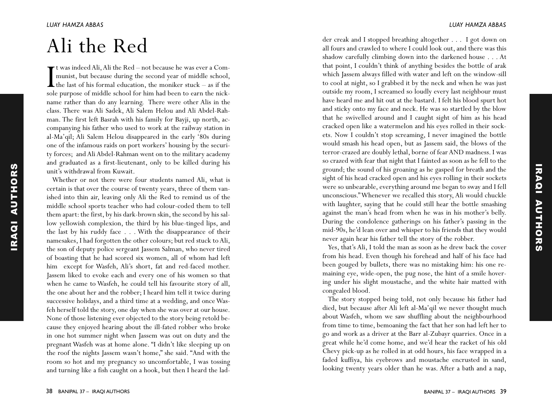## A l i t h e R e d

I<sub>sole</sub> t was indeed Ali, Ali the Red – not because he was ever a Communist, but because during the second year of middle school, the last of his formal education, the moniker stuck  $-$  as if the sole purpose of middle school for him had been to earn the nickname rather than do any learning. There were other Alis in the class. There was Ali Sadek, Ali Salem Helou and Ali Abdel-Rahman. The first left Basrah with his family for Bayji, up north, accompanying his father who used to work at the railway station in al-Ma'qil; Ali Salem Helou disappeared in the early '80s during one of the infamous raids on port workers' housing by the security forces; and Ali Abdel-Rahman went on to the military academy and graduated as a first-lieutenant, only to be killed during his unit's withdrawal from Kuwait.

Whether or not there were four students named Ali, what is certain is that over the course of twenty years, three of them vanished into thin air, leaving only Ali the Red to remind us of the middle school sports teacher who had colour-coded them to tell them apart: the first, by his dark-brown skin, the second by his sallow yellowish complexion, the third by his blue-tinged lips, and the last by his ruddy face . . . With the disappearance of their namesakes, I had forgotten the other colours; but red stuck to Ali, the son of deputy police sergeant Jassem Salman, who never tired of boasting that he had scored six women, all of whom had left him except for Wasfeh, Ali's short, fat and red-faced mother. Jassem liked to evoke each and every one of his women so that when he came to Wasfeh, he could tell his favourite story of all, the one about her and the robber; I heard him tell it twice during successive holidays, and a third time at a wedding, and once Wasfeh herself told the story, one day when she was over at our house. None of those listening ever objected to the story being retold because they enjoyed hearing about the ill-fated robber who broke in one hot summer night when Jassem was out on duty and the pregnant Wasfeh was at home alone. "I didn't like sleeping up on the roof the nights Jassem wasn't home," she said. "And with the room so hot and my pregnancy so uncomfortable, I was tossing and turning like a fish caught on a hook, but then I heard the lad-

## *L U A Y H A M ZA A B B A S*

iraqi

authors

**AUTHORS** 

der creak and I stopped breathing altogether . . . . I got down on all fours and crawled to where I could look out, and there was this shadow carefully climbing down into the darkened house . . . At that point, I couldn't think of anything besides the bottle of arak which Jassem always filled with water and left on the window-sill to cool at night, so I grabbed it by the neck and when he was just outside my room, I screamed so loudly every last neighbour must have heard me and hit out at the bastard. I felt his blood spurt hot and sticky onto my face and neck. He was so startled by the blow that he swivelled around and I caught sight of him as his head cracked open like a watermelon and his eyes rolled in their sockets. Now I couldn't stop screaming, I never imagined the bottle would smash his head open, but as Jassem said, the blows of the terror-crazed are doubly lethal, borne of fear AND madness. I was so crazed with fear that night that I fainted as soon as he fell to the ground; the sound of his groaning as he gasped for breath and the sight of his head cracked open and his eyes rolling in their sockets were so unbearable, everything around me began to sway and I fell unconscious." Whenever we recalled this story, Ali would chuckle with laughter, saying that he could still hear the bottle smashing against the man's head from when he was in his mother's belly. During the condolence gatherings on his father's passing in the mid-90s, he'd lean over and whisper to his friends that they would never again hear his father tell the story of the robber.

Yes, that's Ali, I told the man as soon as he drew back the cover from his head. Even though his forehead and half of his face had been gouged by bullets, there was no mistaking him: his one remaining eye, wide-open, the pug nose, the hint of a smile hovering under his slight moustache, and the white hair matted with congealed blood.

The story stopped being told, not only because his father had died, but because after Ali left al-Ma'qil we never thought much about Wasfeh, whom we saw shuffling about the neighbourhood from time to time, bemoaning the fact that her son had left her to go and work as a driver at the Barr al-Zubayr quarries. Once in a great while he'd come home, and we'd hear the racket of his old Chevy pick-up as he rolled in at odd hours, his face wrapped in a faded kuffiya, his eyebrows and moustache encrusted in sand, looking twenty years older than he was. After a bath and a nap,